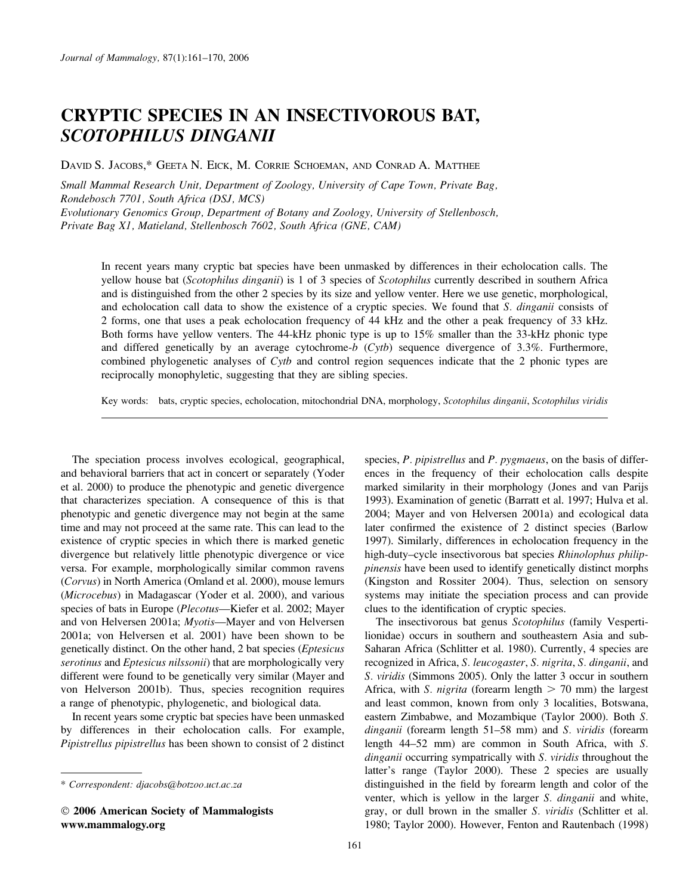# CRYPTIC SPECIES IN AN INSECTIVOROUS BAT, SCOTOPHILUS DINGANII

DAVID S. JACOBS,\* GEETA N. EICK, M. CORRIE SCHOEMAN, AND CONRAD A. MATTHEE

Small Mammal Research Unit, Department of Zoology, University of Cape Town, Private Bag, Rondebosch 7701, South Africa (DSJ, MCS) Evolutionary Genomics Group, Department of Botany and Zoology, University of Stellenbosch, Private Bag X1, Matieland, Stellenbosch 7602, South Africa (GNE, CAM)

In recent years many cryptic bat species have been unmasked by differences in their echolocation calls. The yellow house bat (Scotophilus dinganii) is 1 of 3 species of Scotophilus currently described in southern Africa and is distinguished from the other 2 species by its size and yellow venter. Here we use genetic, morphological, and echolocation call data to show the existence of a cryptic species. We found that S. *dinganii* consists of 2 forms, one that uses a peak echolocation frequency of 44 kHz and the other a peak frequency of 33 kHz. Both forms have yellow venters. The 44-kHz phonic type is up to 15% smaller than the 33-kHz phonic type and differed genetically by an average cytochrome-b (Cytb) sequence divergence of 3.3%. Furthermore, combined phylogenetic analyses of Cytb and control region sequences indicate that the 2 phonic types are reciprocally monophyletic, suggesting that they are sibling species.

Key words: bats, cryptic species, echolocation, mitochondrial DNA, morphology, Scotophilus dinganii, Scotophilus viridis

The speciation process involves ecological, geographical, and behavioral barriers that act in concert or separately (Yoder et al. 2000) to produce the phenotypic and genetic divergence that characterizes speciation. A consequence of this is that phenotypic and genetic divergence may not begin at the same time and may not proceed at the same rate. This can lead to the existence of cryptic species in which there is marked genetic divergence but relatively little phenotypic divergence or vice versa. For example, morphologically similar common ravens (Corvus) in North America (Omland et al. 2000), mouse lemurs (Microcebus) in Madagascar (Yoder et al. 2000), and various species of bats in Europe (Plecotus—Kiefer et al. 2002; Mayer and von Helversen 2001a; Myotis—Mayer and von Helversen 2001a; von Helversen et al. 2001) have been shown to be genetically distinct. On the other hand, 2 bat species (Eptesicus serotinus and Eptesicus nilssonii) that are morphologically very different were found to be genetically very similar (Mayer and von Helverson 2001b). Thus, species recognition requires a range of phenotypic, phylogenetic, and biological data.

In recent years some cryptic bat species have been unmasked by differences in their echolocation calls. For example, Pipistrellus pipistrellus has been shown to consist of 2 distinct

 2006 American Society of Mammalogists www.mammalogy.org

species, P. pipistrellus and P. pygmaeus, on the basis of differences in the frequency of their echolocation calls despite marked similarity in their morphology (Jones and van Parijs 1993). Examination of genetic (Barratt et al. 1997; Hulva et al. 2004; Mayer and von Helversen 2001a) and ecological data later confirmed the existence of 2 distinct species (Barlow 1997). Similarly, differences in echolocation frequency in the high-duty–cycle insectivorous bat species Rhinolophus philippinensis have been used to identify genetically distinct morphs (Kingston and Rossiter 2004). Thus, selection on sensory systems may initiate the speciation process and can provide clues to the identification of cryptic species.

The insectivorous bat genus Scotophilus (family Vespertilionidae) occurs in southern and southeastern Asia and sub-Saharan Africa (Schlitter et al. 1980). Currently, 4 species are recognized in Africa, S. leucogaster, S. nigrita, S. dinganii, and S. viridis (Simmons 2005). Only the latter 3 occur in southern Africa, with *S. nigrita* (forearm length  $> 70$  mm) the largest and least common, known from only 3 localities, Botswana, eastern Zimbabwe, and Mozambique (Taylor 2000). Both S. dinganii (forearm length 51–58 mm) and S. viridis (forearm length 44–52 mm) are common in South Africa, with S. dinganii occurring sympatrically with S. viridis throughout the latter's range (Taylor 2000). These 2 species are usually distinguished in the field by forearm length and color of the venter, which is yellow in the larger S. dinganii and white, gray, or dull brown in the smaller S. viridis (Schlitter et al. 1980; Taylor 2000). However, Fenton and Rautenbach (1998)

<sup>\*</sup> Correspondent: djacobs@botzoo.uct.ac.za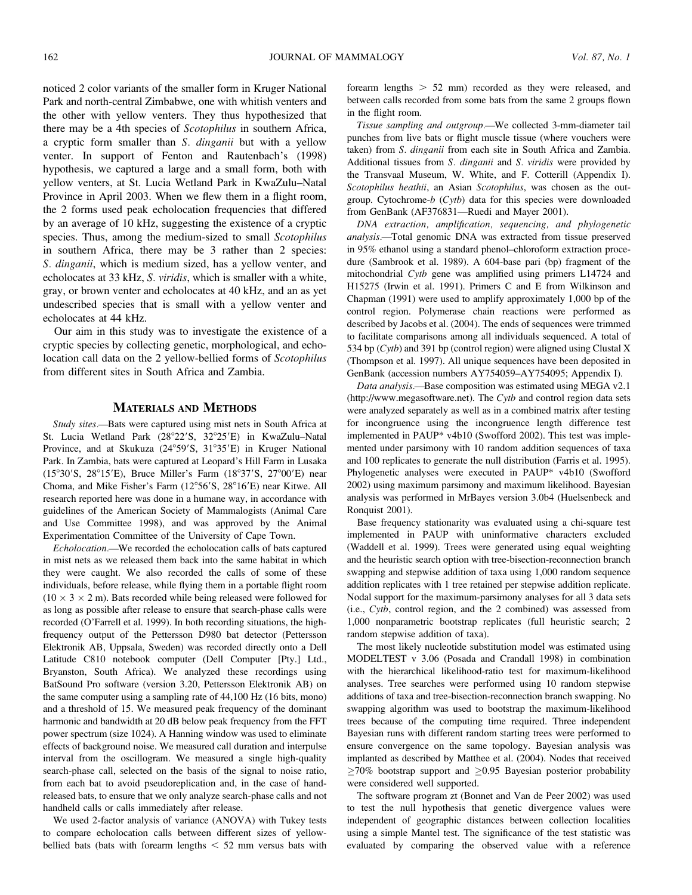noticed 2 color variants of the smaller form in Kruger National Park and north-central Zimbabwe, one with whitish venters and the other with yellow venters. They thus hypothesized that there may be a 4th species of Scotophilus in southern Africa, a cryptic form smaller than S. dinganii but with a yellow venter. In support of Fenton and Rautenbach's (1998) hypothesis, we captured a large and a small form, both with yellow venters, at St. Lucia Wetland Park in KwaZulu–Natal Province in April 2003. When we flew them in a flight room, the 2 forms used peak echolocation frequencies that differed by an average of 10 kHz, suggesting the existence of a cryptic species. Thus, among the medium-sized to small Scotophilus in southern Africa, there may be 3 rather than 2 species: S. dinganii, which is medium sized, has a yellow venter, and echolocates at 33 kHz, S. viridis, which is smaller with a white, gray, or brown venter and echolocates at 40 kHz, and an as yet undescribed species that is small with a yellow venter and echolocates at 44 kHz.

Our aim in this study was to investigate the existence of a cryptic species by collecting genetic, morphological, and echolocation call data on the 2 yellow-bellied forms of Scotophilus from different sites in South Africa and Zambia.

#### MATERIALS AND METHODS

Study sites.—Bats were captured using mist nets in South Africa at St. Lucia Wetland Park (28°22'S, 32°25'E) in KwaZulu-Natal Province, and at Skukuza (24°59'S, 31°35'E) in Kruger National Park. In Zambia, bats were captured at Leopard's Hill Farm in Lusaka (15°30′S, 28°15′E), Bruce Miller's Farm (18°37′S, 27°00′E) near Choma, and Mike Fisher's Farm (12°56'S, 28°16'E) near Kitwe. All research reported here was done in a humane way, in accordance with guidelines of the American Society of Mammalogists (Animal Care and Use Committee 1998), and was approved by the Animal Experimentation Committee of the University of Cape Town.

Echolocation.—We recorded the echolocation calls of bats captured in mist nets as we released them back into the same habitat in which they were caught. We also recorded the calls of some of these individuals, before release, while flying them in a portable flight room  $(10 \times 3 \times 2 \text{ m})$ . Bats recorded while being released were followed for as long as possible after release to ensure that search-phase calls were recorded (O'Farrell et al. 1999). In both recording situations, the highfrequency output of the Pettersson D980 bat detector (Pettersson Elektronik AB, Uppsala, Sweden) was recorded directly onto a Dell Latitude C810 notebook computer (Dell Computer [Pty.] Ltd., Bryanston, South Africa). We analyzed these recordings using BatSound Pro software (version 3.20, Pettersson Elektronik AB) on the same computer using a sampling rate of 44,100 Hz (16 bits, mono) and a threshold of 15. We measured peak frequency of the dominant harmonic and bandwidth at 20 dB below peak frequency from the FFT power spectrum (size 1024). A Hanning window was used to eliminate effects of background noise. We measured call duration and interpulse interval from the oscillogram. We measured a single high-quality search-phase call, selected on the basis of the signal to noise ratio, from each bat to avoid pseudoreplication and, in the case of handreleased bats, to ensure that we only analyze search-phase calls and not handheld calls or calls immediately after release.

We used 2-factor analysis of variance (ANOVA) with Tukey tests to compare echolocation calls between different sizes of yellowbellied bats (bats with forearm lengths  $<$  52 mm versus bats with forearm lengths  $> 52$  mm) recorded as they were released, and between calls recorded from some bats from the same 2 groups flown in the flight room.

Tissue sampling and outgroup.—We collected 3-mm-diameter tail punches from live bats or flight muscle tissue (where vouchers were taken) from S. dinganii from each site in South Africa and Zambia. Additional tissues from S. dinganii and S. viridis were provided by the Transvaal Museum, W. White, and F. Cotterill (Appendix I). Scotophilus heathii, an Asian Scotophilus, was chosen as the outgroup. Cytochrome-b (Cytb) data for this species were downloaded from GenBank (AF376831—Ruedi and Mayer 2001).

DNA extraction, amplification, sequencing, and phylogenetic analysis.—Total genomic DNA was extracted from tissue preserved in 95% ethanol using a standard phenol–chloroform extraction procedure (Sambrook et al. 1989). A 604-base pari (bp) fragment of the mitochondrial Cytb gene was amplified using primers L14724 and H15275 (Irwin et al. 1991). Primers C and E from Wilkinson and Chapman (1991) were used to amplify approximately 1,000 bp of the control region. Polymerase chain reactions were performed as described by Jacobs et al. (2004). The ends of sequences were trimmed to facilitate comparisons among all individuals sequenced. A total of 534 bp (Cytb) and 391 bp (control region) were aligned using Clustal X (Thompson et al. 1997). All unique sequences have been deposited in GenBank (accession numbers AY754059–AY754095; Appendix I).

Data analysis.—Base composition was estimated using MEGA v2.1 (http://www.megasoftware.net). The Cytb and control region data sets were analyzed separately as well as in a combined matrix after testing for incongruence using the incongruence length difference test implemented in PAUP\* v4b10 (Swofford 2002). This test was implemented under parsimony with 10 random addition sequences of taxa and 100 replicates to generate the null distribution (Farris et al. 1995). Phylogenetic analyses were executed in PAUP\* v4b10 (Swofford 2002) using maximum parsimony and maximum likelihood. Bayesian analysis was performed in MrBayes version 3.0b4 (Huelsenbeck and Ronquist 2001).

Base frequency stationarity was evaluated using a chi-square test implemented in PAUP with uninformative characters excluded (Waddell et al. 1999). Trees were generated using equal weighting and the heuristic search option with tree-bisection-reconnection branch swapping and stepwise addition of taxa using 1,000 random sequence addition replicates with 1 tree retained per stepwise addition replicate. Nodal support for the maximum-parsimony analyses for all 3 data sets (i.e., Cytb, control region, and the 2 combined) was assessed from 1,000 nonparametric bootstrap replicates (full heuristic search; 2 random stepwise addition of taxa).

The most likely nucleotide substitution model was estimated using MODELTEST v 3.06 (Posada and Crandall 1998) in combination with the hierarchical likelihood-ratio test for maximum-likelihood analyses. Tree searches were performed using 10 random stepwise additions of taxa and tree-bisection-reconnection branch swapping. No swapping algorithm was used to bootstrap the maximum-likelihood trees because of the computing time required. Three independent Bayesian runs with different random starting trees were performed to ensure convergence on the same topology. Bayesian analysis was implanted as described by Matthee et al. (2004). Nodes that received  $\geq$ 70% bootstrap support and  $\geq$ 0.95 Bayesian posterior probability were considered well supported.

The software program zt (Bonnet and Van de Peer 2002) was used to test the null hypothesis that genetic divergence values were independent of geographic distances between collection localities using a simple Mantel test. The significance of the test statistic was evaluated by comparing the observed value with a reference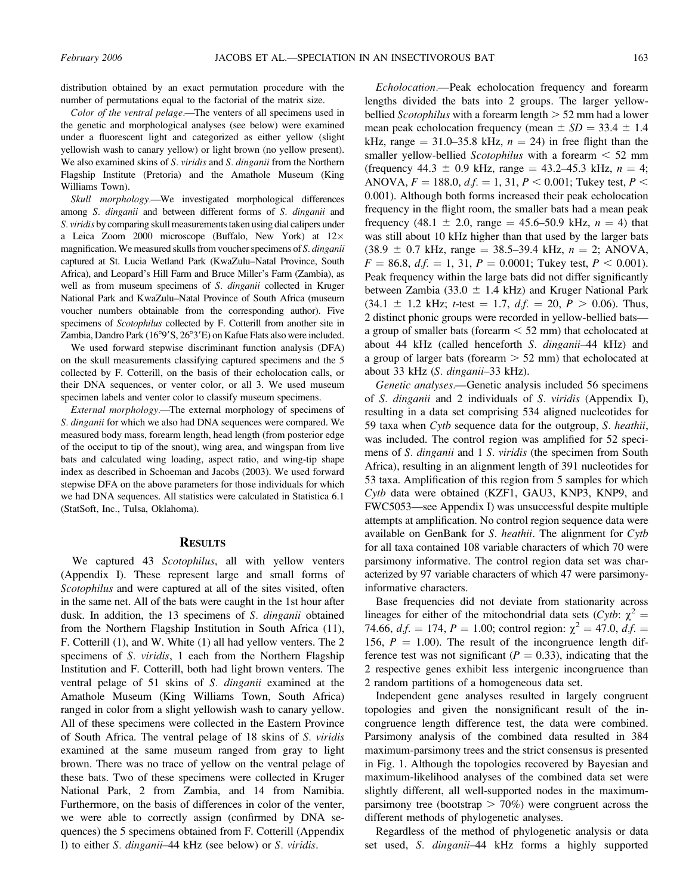distribution obtained by an exact permutation procedure with the number of permutations equal to the factorial of the matrix size.

Color of the ventral pelage.—The venters of all specimens used in the genetic and morphological analyses (see below) were examined under a fluorescent light and categorized as either yellow (slight yellowish wash to canary yellow) or light brown (no yellow present). We also examined skins of S. viridis and S. dinganii from the Northern Flagship Institute (Pretoria) and the Amathole Museum (King Williams Town).

Skull morphology.—We investigated morphological differences among S. dinganii and between different forms of S. dinganii and S. viridis by comparing skull measurements taken using dial calipers under a Leica Zoom 2000 microscope (Buffalo, New York) at 12 magnification. We measured skulls from voucher specimens of S. dinganii captured at St. Lucia Wetland Park (KwaZulu–Natal Province, South Africa), and Leopard's Hill Farm and Bruce Miller's Farm (Zambia), as well as from museum specimens of S. dinganii collected in Kruger National Park and KwaZulu–Natal Province of South Africa (museum voucher numbers obtainable from the corresponding author). Five specimens of Scotophilus collected by F. Cotterill from another site in Zambia, Dandro Park (16°9'S, 26°3'E) on Kafue Flats also were included.

We used forward stepwise discriminant function analysis (DFA) on the skull measurements classifying captured specimens and the 5 collected by F. Cotterill, on the basis of their echolocation calls, or their DNA sequences, or venter color, or all 3. We used museum specimen labels and venter color to classify museum specimens.

External morphology.—The external morphology of specimens of S. dinganii for which we also had DNA sequences were compared. We measured body mass, forearm length, head length (from posterior edge of the occiput to tip of the snout), wing area, and wingspan from live bats and calculated wing loading, aspect ratio, and wing-tip shape index as described in Schoeman and Jacobs (2003). We used forward stepwise DFA on the above parameters for those individuals for which we had DNA sequences. All statistics were calculated in Statistica 6.1 (StatSoft, Inc., Tulsa, Oklahoma).

#### **RESULTS**

We captured 43 Scotophilus, all with yellow venters (Appendix I). These represent large and small forms of Scotophilus and were captured at all of the sites visited, often in the same net. All of the bats were caught in the 1st hour after dusk. In addition, the 13 specimens of S. dinganii obtained from the Northern Flagship Institution in South Africa (11), F. Cotterill (1), and W. White (1) all had yellow venters. The 2 specimens of S. *viridis*, 1 each from the Northern Flagship Institution and F. Cotterill, both had light brown venters. The ventral pelage of 51 skins of S. dinganii examined at the Amathole Museum (King Williams Town, South Africa) ranged in color from a slight yellowish wash to canary yellow. All of these specimens were collected in the Eastern Province of South Africa. The ventral pelage of 18 skins of S. viridis examined at the same museum ranged from gray to light brown. There was no trace of yellow on the ventral pelage of these bats. Two of these specimens were collected in Kruger National Park, 2 from Zambia, and 14 from Namibia. Furthermore, on the basis of differences in color of the venter, we were able to correctly assign (confirmed by DNA sequences) the 5 specimens obtained from F. Cotterill (Appendix I) to either S. dinganii–44 kHz (see below) or S. viridis.

Echolocation.—Peak echolocation frequency and forearm lengths divided the bats into 2 groups. The larger yellowbellied *Scotophilus* with a forearm length  $> 52$  mm had a lower mean peak echolocation frequency (mean  $\pm SD = 33.4 \pm 1.4$ kHz, range =  $31.0-35.8$  kHz,  $n = 24$ ) in free flight than the smaller yellow-bellied Scotophilus with a forearm  $\leq 52$  mm (frequency 44.3  $\pm$  0.9 kHz, range = 43.2–45.3 kHz,  $n = 4$ ; ANOVA,  $F = 188.0$ ,  $d.f. = 1, 31$ ,  $P < 0.001$ ; Tukey test,  $P <$ 0.001). Although both forms increased their peak echolocation frequency in the flight room, the smaller bats had a mean peak frequency (48.1  $\pm$  2.0, range = 45.6–50.9 kHz,  $n = 4$ ) that was still about 10 kHz higher than that used by the larger bats  $(38.9 \pm 0.7 \text{ kHz}, \text{range} = 38.5 - 39.4 \text{ kHz}, n = 2; ANOVA,$  $F = 86.8$ ,  $df = 1$ , 31,  $P = 0.0001$ ; Tukey test,  $P < 0.001$ ). Peak frequency within the large bats did not differ significantly between Zambia (33.0  $\pm$  1.4 kHz) and Kruger National Park  $(34.1 \pm 1.2 \text{ kHz}; t\text{-test} = 1.7, df. = 20, P > 0.06)$ . Thus, 2 distinct phonic groups were recorded in yellow-bellied bats a group of smaller bats (forearm  $\leq 52$  mm) that echolocated at about 44 kHz (called henceforth S. dinganii–44 kHz) and a group of larger bats (forearm  $> 52$  mm) that echolocated at about 33 kHz (S. dinganii–33 kHz).

Genetic analyses.—Genetic analysis included 56 specimens of S. dinganii and 2 individuals of S. viridis (Appendix I), resulting in a data set comprising 534 aligned nucleotides for 59 taxa when Cytb sequence data for the outgroup, S. heathii, was included. The control region was amplified for 52 specimens of *S. dinganii* and 1 *S. viridis* (the specimen from South Africa), resulting in an alignment length of 391 nucleotides for 53 taxa. Amplification of this region from 5 samples for which Cytb data were obtained (KZF1, GAU3, KNP3, KNP9, and FWC5053—see Appendix I) was unsuccessful despite multiple attempts at amplification. No control region sequence data were available on GenBank for S. heathii. The alignment for Cytb for all taxa contained 108 variable characters of which 70 were parsimony informative. The control region data set was characterized by 97 variable characters of which 47 were parsimonyinformative characters.

Base frequencies did not deviate from stationarity across lineages for either of the mitochondrial data sets (Cytb:  $\chi^2$  = 74.66,  $df = 174$ ,  $P = 1.00$ ; control region:  $\chi^2 = 47.0$ ,  $df =$ 156,  $P = 1.00$ ). The result of the incongruence length difference test was not significant ( $P = 0.33$ ), indicating that the 2 respective genes exhibit less intergenic incongruence than 2 random partitions of a homogeneous data set.

Independent gene analyses resulted in largely congruent topologies and given the nonsignificant result of the incongruence length difference test, the data were combined. Parsimony analysis of the combined data resulted in 384 maximum-parsimony trees and the strict consensus is presented in Fig. 1. Although the topologies recovered by Bayesian and maximum-likelihood analyses of the combined data set were slightly different, all well-supported nodes in the maximumparsimony tree (bootstrap  $> 70\%$ ) were congruent across the different methods of phylogenetic analyses.

Regardless of the method of phylogenetic analysis or data set used, S. dinganii–44 kHz forms a highly supported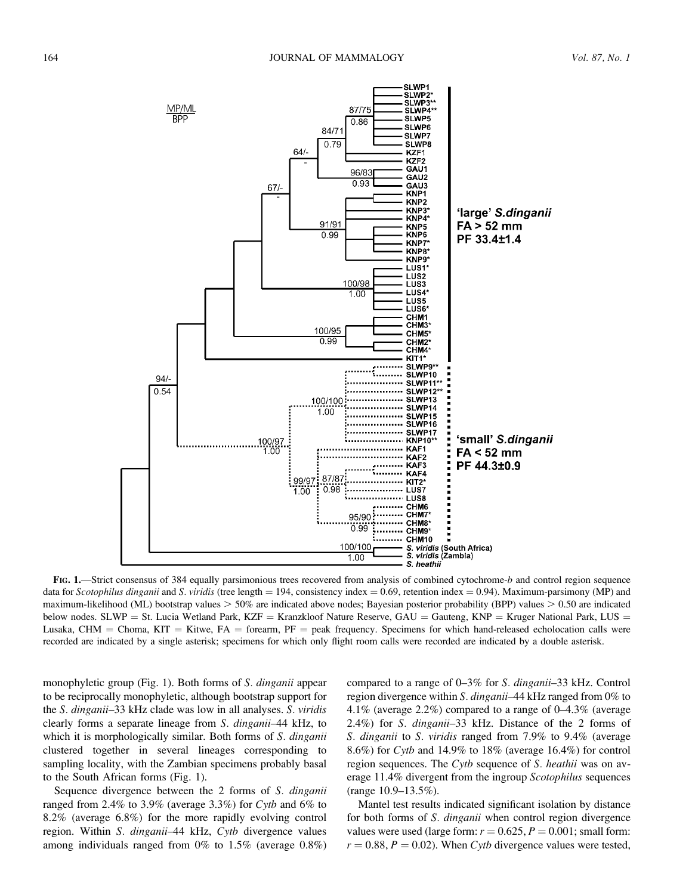

FIG. 1.—Strict consensus of 384 equally parsimonious trees recovered from analysis of combined cytochrome-b and control region sequence data for Scotophilus dinganii and S. viridis (tree length = 194, consistency index = 0.69, retention index = 0.94). Maximum-parsimony (MP) and maximum-likelihood (ML) bootstrap values  $> 50\%$  are indicated above nodes; Bayesian posterior probability (BPP) values  $> 0.50$  are indicated below nodes. SLWP = St. Lucia Wetland Park, KZF = Kranzkloof Nature Reserve, GAU = Gauteng, KNP = Kruger National Park, LUS = Lusaka, CHM = Choma, KIT = Kitwe, FA = forearm, PF = peak frequency. Specimens for which hand-released echolocation calls were recorded are indicated by a single asterisk; specimens for which only flight room calls were recorded are indicated by a double asterisk.

monophyletic group (Fig. 1). Both forms of S. dinganii appear to be reciprocally monophyletic, although bootstrap support for the S. dinganii–33 kHz clade was low in all analyses. S. viridis clearly forms a separate lineage from S. dinganii–44 kHz, to which it is morphologically similar. Both forms of S. dinganii clustered together in several lineages corresponding to sampling locality, with the Zambian specimens probably basal to the South African forms (Fig. 1).

Sequence divergence between the 2 forms of S. dinganii ranged from 2.4% to 3.9% (average 3.3%) for Cytb and 6% to 8.2% (average 6.8%) for the more rapidly evolving control region. Within S. dinganii–44 kHz, Cytb divergence values among individuals ranged from 0% to 1.5% (average 0.8%) compared to a range of 0–3% for S. dinganii–33 kHz. Control region divergence within S. dinganii-44 kHz ranged from 0% to 4.1% (average 2.2%) compared to a range of 0–4.3% (average 2.4%) for S. dinganii–33 kHz. Distance of the 2 forms of S. dinganii to S. viridis ranged from 7.9% to 9.4% (average 8.6%) for Cytb and 14.9% to 18% (average 16.4%) for control region sequences. The Cytb sequence of S. heathii was on average 11.4% divergent from the ingroup Scotophilus sequences (range 10.9–13.5%).

Mantel test results indicated significant isolation by distance for both forms of S. dinganii when control region divergence values were used (large form:  $r = 0.625$ ,  $P = 0.001$ ; small form:  $r = 0.88$ ,  $P = 0.02$ ). When Cytb divergence values were tested,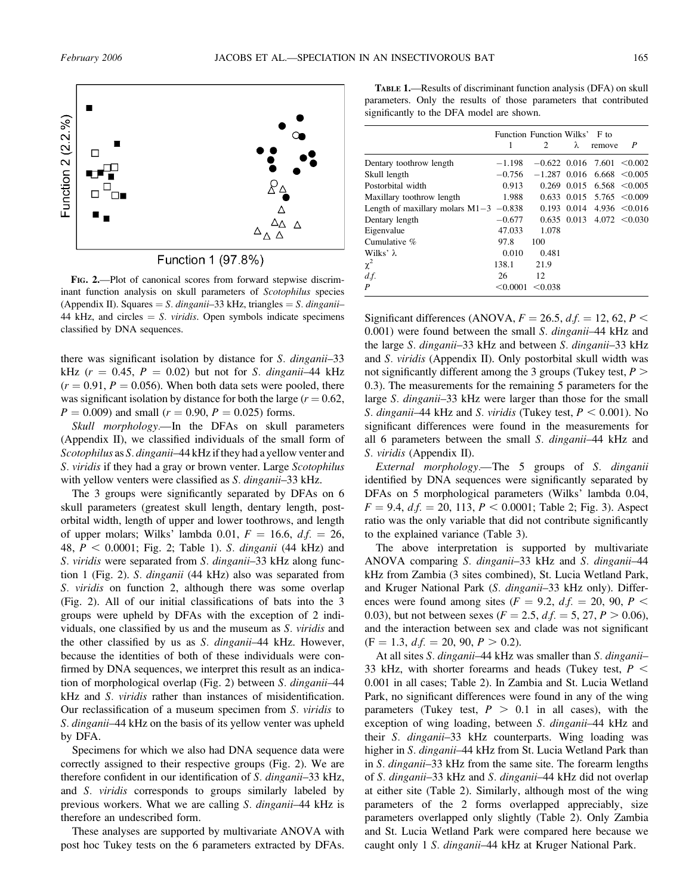

Function 1 (97.8%)

FIG. 2.—Plot of canonical scores from forward stepwise discriminant function analysis on skull parameters of Scotophilus species (Appendix II). Squares  $= S$ . dinganii–33 kHz, triangles  $= S$ . dinganii– 44 kHz, and circles  $= S$ . *viridis*. Open symbols indicate specimens classified by DNA sequences.

there was significant isolation by distance for S. dinganii–33 kHz ( $r = 0.45$ ,  $P = 0.02$ ) but not for S. dinganii–44 kHz  $(r = 0.91, P = 0.056)$ . When both data sets were pooled, there was significant isolation by distance for both the large  $(r = 0.62,$  $P = 0.009$ ) and small ( $r = 0.90$ ,  $P = 0.025$ ) forms.

Skull *morphology*.—In the DFAs on skull parameters (Appendix II), we classified individuals of the small form of Scotophilus as S. dinganii–44 kHz if they had a yellow venter and S. viridis if they had a gray or brown venter. Large Scotophilus with yellow venters were classified as *S. dinganii*–33 kHz.

The 3 groups were significantly separated by DFAs on 6 skull parameters (greatest skull length, dentary length, postorbital width, length of upper and lower toothrows, and length of upper molars; Wilks' lambda 0.01,  $F = 16.6$ ,  $df = 26$ , 48,  $P < 0.0001$ ; Fig. 2; Table 1). S. *dinganii* (44 kHz) and S. viridis were separated from S. dinganii–33 kHz along function 1 (Fig. 2). S. dinganii (44 kHz) also was separated from S. *viridis* on function 2, although there was some overlap (Fig. 2). All of our initial classifications of bats into the 3 groups were upheld by DFAs with the exception of 2 individuals, one classified by us and the museum as S. viridis and the other classified by us as S. dinganii–44 kHz. However, because the identities of both of these individuals were confirmed by DNA sequences, we interpret this result as an indication of morphological overlap (Fig. 2) between S. dinganii–44 kHz and S. viridis rather than instances of misidentification. Our reclassification of a museum specimen from S. viridis to S. dinganii–44 kHz on the basis of its yellow venter was upheld by DFA.

Specimens for which we also had DNA sequence data were correctly assigned to their respective groups (Fig. 2). We are therefore confident in our identification of S. dinganii–33 kHz, and S. viridis corresponds to groups similarly labeled by previous workers. What we are calling S. dinganii–44 kHz is therefore an undescribed form.

These analyses are supported by multivariate ANOVA with post hoc Tukey tests on the 6 parameters extracted by DFAs.

TABLE 1.—Results of discriminant function analysis (DFA) on skull parameters. Only the results of those parameters that contributed significantly to the DFA model are shown.

|                                          | Function Function Wilks' F to |                              |                 |                                   |                   |
|------------------------------------------|-------------------------------|------------------------------|-----------------|-----------------------------------|-------------------|
|                                          | 1                             | 2                            | λ               | remove                            | P                 |
| Dentary toothrow length                  | $-1.198$                      | $-0.622$ 0.016 7.601 < 0.002 |                 |                                   |                   |
| Skull length                             | $-0.756$                      | $-1.287$ 0.016               |                 |                                   | $6.668 \le 0.005$ |
| Postorbital width                        | 0.913                         |                              | $0.269$ $0.015$ |                                   | $6.568 \le 0.005$ |
| Maxillary toothrow length                | 1.988                         |                              |                 | $0.633$ $0.015$ $5.765$ $< 0.009$ |                   |
| Length of maxillary molars $M1-3$ -0.838 |                               |                              | $0.193$ $0.014$ |                                   | $4.936 \le 0.016$ |
| Dentary length                           | $-0.677$                      |                              | $0.635$ 0.013   |                                   | $4.072 \le 0.030$ |
| Eigenvalue                               | 47.033                        | 1.078                        |                 |                                   |                   |
| Cumulative %                             | 97.8                          | 100                          |                 |                                   |                   |
| Wilks' $\lambda$                         | 0.010                         | 0.481                        |                 |                                   |                   |
| $\chi^2$                                 | 138.1                         | 21.9                         |                 |                                   |                   |
| $df$ .                                   | 26                            | 12                           |                 |                                   |                   |
| P                                        | < 0.0001                      | < 0.038                      |                 |                                   |                   |

Significant differences (ANOVA,  $F = 26.5$ ,  $df = 12$ , 62,  $P <$ 0.001) were found between the small S. dinganii–44 kHz and the large S. dinganii–33 kHz and between S. dinganii–33 kHz and S. viridis (Appendix II). Only postorbital skull width was not significantly different among the 3 groups (Tukey test,  $P >$ 0.3). The measurements for the remaining 5 parameters for the large S. dinganii–33 kHz were larger than those for the small S. dinganii–44 kHz and S. viridis (Tukey test,  $P < 0.001$ ). No significant differences were found in the measurements for all 6 parameters between the small S. dinganii–44 kHz and S. viridis (Appendix II).

External morphology.—The 5 groups of S. dinganii identified by DNA sequences were significantly separated by DFAs on 5 morphological parameters (Wilks' lambda 0.04,  $F = 9.4$ ,  $df = 20$ , 113,  $P < 0.0001$ ; Table 2; Fig. 3). Aspect ratio was the only variable that did not contribute significantly to the explained variance (Table 3).

The above interpretation is supported by multivariate ANOVA comparing S. dinganii–33 kHz and S. dinganii–44 kHz from Zambia (3 sites combined), St. Lucia Wetland Park, and Kruger National Park (S. dinganii–33 kHz only). Differences were found among sites ( $F = 9.2$ ,  $df = 20$ ,  $90$ ,  $P <$ 0.03), but not between sexes ( $F = 2.5$ ,  $df = 5$ , 27,  $P > 0.06$ ), and the interaction between sex and clade was not significant  $(F = 1.3, d.f. = 20, 90, P > 0.2).$ 

At all sites *S. dinganii*–44 kHz was smaller than *S. dinganii*– 33 kHz, with shorter forearms and heads (Tukey test,  $P \leq$ 0.001 in all cases; Table 2). In Zambia and St. Lucia Wetland Park, no significant differences were found in any of the wing parameters (Tukey test,  $P > 0.1$  in all cases), with the exception of wing loading, between *S. dinganii*–44 kHz and their S. dinganii–33 kHz counterparts. Wing loading was higher in S. dinganii-44 kHz from St. Lucia Wetland Park than in S. dinganii–33 kHz from the same site. The forearm lengths of S. dinganii–33 kHz and S. dinganii–44 kHz did not overlap at either site (Table 2). Similarly, although most of the wing parameters of the 2 forms overlapped appreciably, size parameters overlapped only slightly (Table 2). Only Zambia and St. Lucia Wetland Park were compared here because we caught only 1 S. dinganii-44 kHz at Kruger National Park.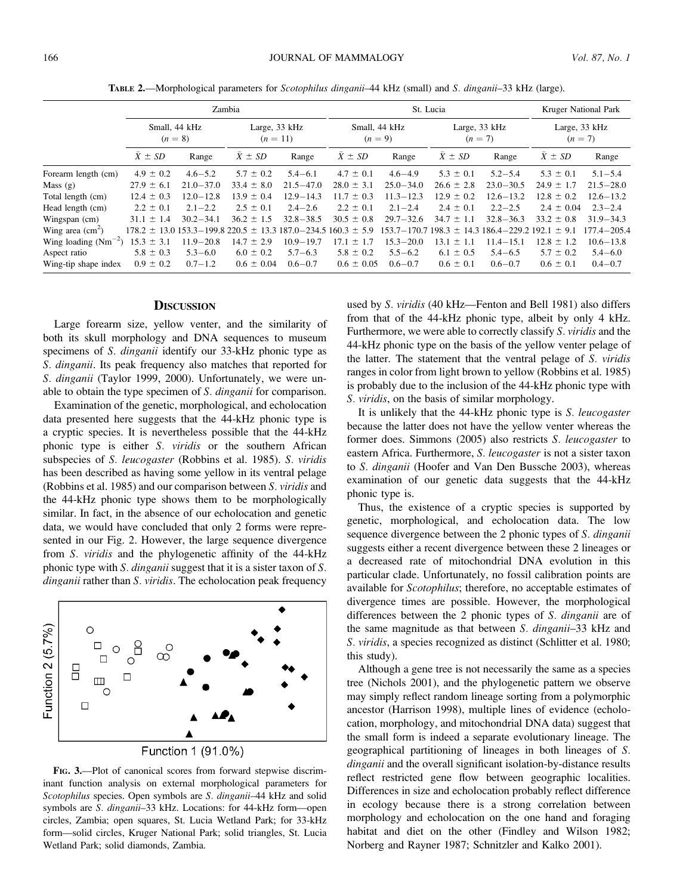TABLE 2.—Morphological parameters for Scotophilus dinganii–44 kHz (small) and S. dinganii–33 kHz (large).

|                                  |                | Zambia                     |                                             |                             |                 | St. Lucia                  |                  |                                 |                  | <b>Kruger National Park</b> |  |
|----------------------------------|----------------|----------------------------|---------------------------------------------|-----------------------------|-----------------|----------------------------|------------------|---------------------------------|------------------|-----------------------------|--|
|                                  |                | Small, 44 kHz<br>$(n = 8)$ |                                             | Large, 33 kHz<br>$(n = 11)$ |                 | Small, 44 kHz<br>$(n = 9)$ |                  | Large, 33 kHz<br>$(n = 7)$      |                  | Large, 33 kHz<br>$(n = 7)$  |  |
|                                  | $X \pm SD$     | Range                      | $\bar{X} \pm SD$                            | Range                       | $X \pm SD$      | Range                      | $X \pm SD$       | Range                           | $\bar{X} \pm SD$ | Range                       |  |
| Forearm length (cm)              | $4.9 \pm 0.2$  | $4.6 - 5.2$                | $5.7 \pm 0.2$                               | $5.4 - 6.1$                 | $4.7 \pm 0.1$   | $4.6 - 4.9$                | $5.3 \pm 0.1$    | $5.2 - 5.4$                     | $5.3 \pm 0.1$    | $5.1 - 5.4$                 |  |
| Mass $(g)$                       | $27.9 \pm 6.1$ | $21.0 - 37.0$              | $33.4 \pm 8.0$                              | $21.5 - 47.0$               | $28.0 \pm 3.1$  | $25.0 - 34.0$              | $26.6 \pm 2.8$   | $23.0 - 30.5$                   | $24.9 \pm 1.7$   | $21.5 - 28.0$               |  |
| Total length (cm)                | $12.4 \pm 0.3$ | $12.0 - 12.8$              | $13.9 \pm 0.4$                              | $12.9 - 14.3$               | $11.7 \pm 0.3$  | $11.3 - 12.3$              | $12.9 \pm 0.2$   | $12.6 - 13.2$                   | $12.8 \pm 0.2$   | $12.6 - 13.2$               |  |
| Head length (cm)                 | $2.2 \pm 0.1$  | $2.1 - 2.2$                | $2.5 \pm 0.1$                               | $2.4 - 2.6$                 | $2.2 \pm 0.1$   | $2.1 - 2.4$                | $2.4 \pm 0.1$    | $2.2 - 2.5$                     | $2.4 \pm 0.04$   | $2.3 - 2.4$                 |  |
| Wingspan (cm)                    | $31.1 \pm 1.4$ | $30.2 - 34.1$              | $36.2 \pm 1.5$                              | $32.8 - 38.5$               | $30.5 \pm 0.8$  | $29.7 - 32.6$              | $34.7 \pm 1.1$   | $32.8 - 36.3$                   | $33.2 \pm 0.8$   | $31.9 - 34.3$               |  |
| Wing area $\text{(cm}^2\text{)}$ |                |                            | $178.2 \pm 13.0153.3 - 199.8220.5 \pm 13.3$ | $187.0 - 234.5$             | $160.3 \pm 5.9$ | 153.7-170.7                | $198.3 \pm 14.3$ | $186.4 - 229.2$ $192.1 \pm 9.1$ |                  | $177.4 - 205.4$             |  |
| Wing loading $(Nm^{-2})$         | $15.3 \pm 3.1$ | $11.9 - 20.8$              | $14.7 \pm 2.9$                              | $10.9 - 19.7$               | $17.1 \pm 1.7$  | $15.3 - 20.0$              | $13.1 \pm 1.1$   | $11.4 - 15.1$                   | $12.8 \pm 1.2$   | $10.6 - 13.8$               |  |
| Aspect ratio                     | $5.8 \pm 0.3$  | $5.3 - 6.0$                | $6.0 \pm 0.2$                               | $5.7 - 6.3$                 | $5.8 \pm 0.2$   | $5.5 - 6.2$                | $6.1 \pm 0.5$    | $5.4 - 6.5$                     | $5.7 \pm 0.2$    | $5.4 - 6.0$                 |  |
| Wing-tip shape index             | $0.9 \pm 0.2$  | $0.7 - 1.2$                | $0.6 \pm 0.04$                              | $0.6 - 0.7$                 | $0.6 \pm 0.05$  | $0.6 - 0.7$                | $0.6 \pm 0.1$    | $0.6 - 0.7$                     | $0.6 \pm 0.1$    | $0.4 - 0.7$                 |  |

#### **DISCUSSION**

Large forearm size, yellow venter, and the similarity of both its skull morphology and DNA sequences to museum specimens of *S. dinganii* identify our 33-kHz phonic type as S. dinganii. Its peak frequency also matches that reported for S. dinganii (Taylor 1999, 2000). Unfortunately, we were unable to obtain the type specimen of S. dinganii for comparison.

Examination of the genetic, morphological, and echolocation data presented here suggests that the 44-kHz phonic type is a cryptic species. It is nevertheless possible that the 44-kHz phonic type is either S. viridis or the southern African subspecies of S. leucogaster (Robbins et al. 1985). S. viridis has been described as having some yellow in its ventral pelage (Robbins et al. 1985) and our comparison between S. viridis and the 44-kHz phonic type shows them to be morphologically similar. In fact, in the absence of our echolocation and genetic data, we would have concluded that only 2 forms were represented in our Fig. 2. However, the large sequence divergence from S. viridis and the phylogenetic affinity of the 44-kHz phonic type with S. dinganii suggest that it is a sister taxon of S. dinganii rather than S. viridis. The echolocation peak frequency



FIG. 3.—Plot of canonical scores from forward stepwise discriminant function analysis on external morphological parameters for Scotophilus species. Open symbols are S. dinganii-44 kHz and solid symbols are S. dinganii–33 kHz. Locations: for 44-kHz form—open circles, Zambia; open squares, St. Lucia Wetland Park; for 33-kHz form—solid circles, Kruger National Park; solid triangles, St. Lucia Wetland Park; solid diamonds, Zambia.

used by S. viridis (40 kHz—Fenton and Bell 1981) also differs from that of the 44-kHz phonic type, albeit by only 4 kHz. Furthermore, we were able to correctly classify S. viridis and the 44-kHz phonic type on the basis of the yellow venter pelage of the latter. The statement that the ventral pelage of S. viridis ranges in color from light brown to yellow (Robbins et al. 1985) is probably due to the inclusion of the 44-kHz phonic type with S. viridis, on the basis of similar morphology.

It is unlikely that the 44-kHz phonic type is S. leucogaster because the latter does not have the yellow venter whereas the former does. Simmons (2005) also restricts S. leucogaster to eastern Africa. Furthermore, S. leucogaster is not a sister taxon to S. dinganii (Hoofer and Van Den Bussche 2003), whereas examination of our genetic data suggests that the 44-kHz phonic type is.

Thus, the existence of a cryptic species is supported by genetic, morphological, and echolocation data. The low sequence divergence between the 2 phonic types of S. dinganii suggests either a recent divergence between these 2 lineages or a decreased rate of mitochondrial DNA evolution in this particular clade. Unfortunately, no fossil calibration points are available for Scotophilus; therefore, no acceptable estimates of divergence times are possible. However, the morphological differences between the 2 phonic types of S. dinganii are of the same magnitude as that between S. dinganii-33 kHz and S. viridis, a species recognized as distinct (Schlitter et al. 1980; this study).

Although a gene tree is not necessarily the same as a species tree (Nichols 2001), and the phylogenetic pattern we observe may simply reflect random lineage sorting from a polymorphic ancestor (Harrison 1998), multiple lines of evidence (echolocation, morphology, and mitochondrial DNA data) suggest that the small form is indeed a separate evolutionary lineage. The geographical partitioning of lineages in both lineages of S. dinganii and the overall significant isolation-by-distance results reflect restricted gene flow between geographic localities. Differences in size and echolocation probably reflect difference in ecology because there is a strong correlation between morphology and echolocation on the one hand and foraging habitat and diet on the other (Findley and Wilson 1982; Norberg and Rayner 1987; Schnitzler and Kalko 2001).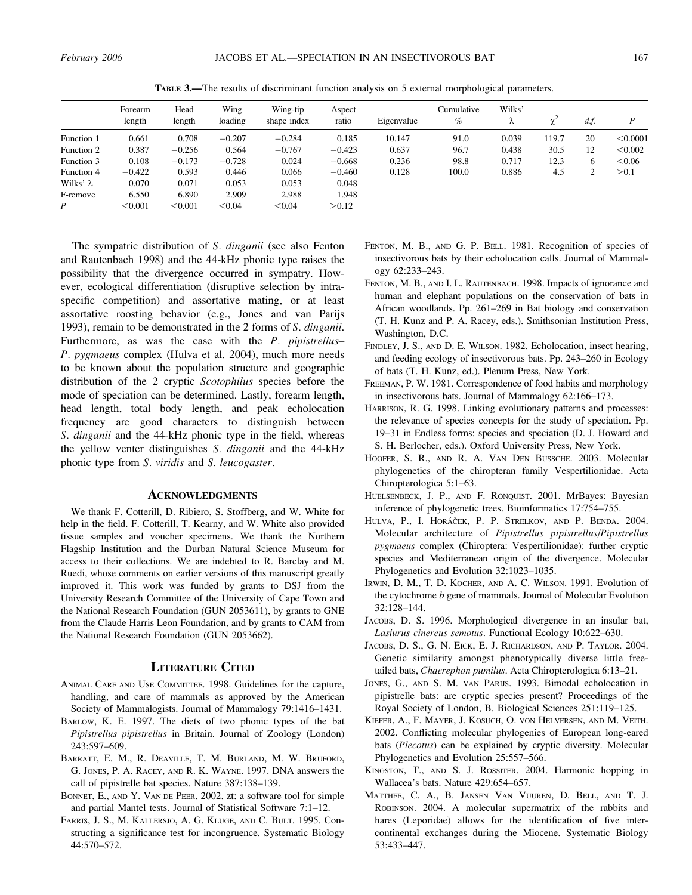|            | Forearm<br>length | Head<br>length | Wing<br>loading | Wing-tip<br>shape index | Aspect<br>ratio | Eigenvalue | Cumulative<br>% | Wilks'<br>λ | $\sim$ | $df$ . | D        |
|------------|-------------------|----------------|-----------------|-------------------------|-----------------|------------|-----------------|-------------|--------|--------|----------|
| Function 1 | 0.661             | 0.708          | $-0.207$        | $-0.284$                | 0.185           | 10.147     | 91.0            | 0.039       | 119.7  | 20     | < 0.0001 |
| Function 2 | 0.387             | $-0.256$       | 0.564           | $-0.767$                | $-0.423$        | 0.637      | 96.7            | 0.438       | 30.5   | 12     | < 0.002  |
| Function 3 | 0.108             | $-0.173$       | $-0.728$        | 0.024                   | $-0.668$        | 0.236      | 98.8            | 0.717       | 12.3   | 6      | < 0.06   |
| Function 4 | $-0.422$          | 0.593          | 0.446           | 0.066                   | $-0.460$        | 0.128      | 100.0           | 0.886       | 4.5    | ↑<br>∠ | > 0.1    |
| Wilks' λ   | 0.070             | 0.071          | 0.053           | 0.053                   | 0.048           |            |                 |             |        |        |          |
| F-remove   | 6.550             | 6.890          | 2.909           | 2.988                   | 1.948           |            |                 |             |        |        |          |
| P          | < 0.001           | < 0.001        | < 0.04          | < 0.04                  | > 0.12          |            |                 |             |        |        |          |

TABLE 3.—The results of discriminant function analysis on 5 external morphological parameters.

The sympatric distribution of S. dinganii (see also Fenton and Rautenbach 1998) and the 44-kHz phonic type raises the possibility that the divergence occurred in sympatry. However, ecological differentiation (disruptive selection by intraspecific competition) and assortative mating, or at least assortative roosting behavior (e.g., Jones and van Parijs 1993), remain to be demonstrated in the 2 forms of S. dinganii. Furthermore, as was the case with the P. pipistrellus– P. pygmaeus complex (Hulva et al. 2004), much more needs to be known about the population structure and geographic distribution of the 2 cryptic Scotophilus species before the mode of speciation can be determined. Lastly, forearm length, head length, total body length, and peak echolocation frequency are good characters to distinguish between S. dinganii and the 44-kHz phonic type in the field, whereas the yellow venter distinguishes S. dinganii and the 44-kHz phonic type from S. viridis and S. leucogaster.

### ACKNOWLEDGMENTS

We thank F. Cotterill, D. Ribiero, S. Stoffberg, and W. White for help in the field. F. Cotterill, T. Kearny, and W. White also provided tissue samples and voucher specimens. We thank the Northern Flagship Institution and the Durban Natural Science Museum for access to their collections. We are indebted to R. Barclay and M. Ruedi, whose comments on earlier versions of this manuscript greatly improved it. This work was funded by grants to DSJ from the University Research Committee of the University of Cape Town and the National Research Foundation (GUN 2053611), by grants to GNE from the Claude Harris Leon Foundation, and by grants to CAM from the National Research Foundation (GUN 2053662).

#### LITERATURE CITED

- ANIMAL CARE AND USE COMMITTEE. 1998. Guidelines for the capture, handling, and care of mammals as approved by the American Society of Mammalogists. Journal of Mammalogy 79:1416–1431.
- BARLOW, K. E. 1997. The diets of two phonic types of the bat Pipistrellus pipistrellus in Britain. Journal of Zoology (London) 243:597–609.
- BARRATT, E. M., R. DEAVILLE, T. M. BURLAND, M. W. BRUFORD, G. JONES, P. A. RACEY, AND R. K. WAYNE. 1997. DNA answers the call of pipistrelle bat species. Nature 387:138–139.
- BONNET, E., AND Y. VAN DE PEER. 2002. zt: a software tool for simple and partial Mantel tests. Journal of Statistical Software 7:1–12.
- FARRIS, J. S., M. KALLERSJO, A. G. KLUGE, AND C. BULT. 1995. Constructing a significance test for incongruence. Systematic Biology 44:570–572.
- FENTON, M. B., AND G. P. BELL. 1981. Recognition of species of insectivorous bats by their echolocation calls. Journal of Mammalogy 62:233–243.
- FENTON, M. B., AND I. L. RAUTENBACH. 1998. Impacts of ignorance and human and elephant populations on the conservation of bats in African woodlands. Pp. 261–269 in Bat biology and conservation (T. H. Kunz and P. A. Racey, eds.). Smithsonian Institution Press, Washington, D.C.
- FINDLEY, J. S., AND D. E. WILSON. 1982. Echolocation, insect hearing, and feeding ecology of insectivorous bats. Pp. 243–260 in Ecology of bats (T. H. Kunz, ed.). Plenum Press, New York.
- FREEMAN, P. W. 1981. Correspondence of food habits and morphology in insectivorous bats. Journal of Mammalogy 62:166–173.
- HARRISON, R. G. 1998. Linking evolutionary patterns and processes: the relevance of species concepts for the study of speciation. Pp. 19–31 in Endless forms: species and speciation (D. J. Howard and S. H. Berlocher, eds.). Oxford University Press, New York.
- HOOFER, S. R., AND R. A. VAN DEN BUSSCHE. 2003. Molecular phylogenetics of the chiropteran family Vespertilionidae. Acta Chiropterologica 5:1–63.
- HUELSENBECK, J. P., AND F. RONQUIST. 2001. MrBayes: Bayesian inference of phylogenetic trees. Bioinformatics 17:754–755.
- HULVA, P., I. HORÁČEK, P. P. STRELKOV, AND P. BENDA. 2004. Molecular architecture of Pipistrellus pipistrellus/Pipistrellus pygmaeus complex (Chiroptera: Vespertilionidae): further cryptic species and Mediterranean origin of the divergence. Molecular Phylogenetics and Evolution 32:1023–1035.
- IRWIN, D. M., T. D. KOCHER, AND A. C. WILSON. 1991. Evolution of the cytochrome *b* gene of mammals. Journal of Molecular Evolution 32:128–144.
- JACOBS, D. S. 1996. Morphological divergence in an insular bat, Lasiurus cinereus semotus. Functional Ecology 10:622–630.
- JACOBS, D. S., G. N. EICK, E. J. RICHARDSON, AND P. TAYLOR. 2004. Genetic similarity amongst phenotypically diverse little freetailed bats, Chaerephon pumilus. Acta Chiropterologica 6:13-21.
- JONES, G., AND S. M. VAN PARIJS. 1993. Bimodal echolocation in pipistrelle bats: are cryptic species present? Proceedings of the Royal Society of London, B. Biological Sciences 251:119–125.
- KIEFER, A., F. MAYER, J. KOSUCH, O. VON HELVERSEN, AND M. VEITH. 2002. Conflicting molecular phylogenies of European long-eared bats (Plecotus) can be explained by cryptic diversity. Molecular Phylogenetics and Evolution 25:557–566.
- KINGSTON, T., AND S. J. ROSSITER. 2004. Harmonic hopping in Wallacea's bats. Nature 429:654–657.
- MATTHEE, C. A., B. JANSEN VAN VUUREN, D. BELL, AND T. J. ROBINSON. 2004. A molecular supermatrix of the rabbits and hares (Leporidae) allows for the identification of five intercontinental exchanges during the Miocene. Systematic Biology 53:433–447.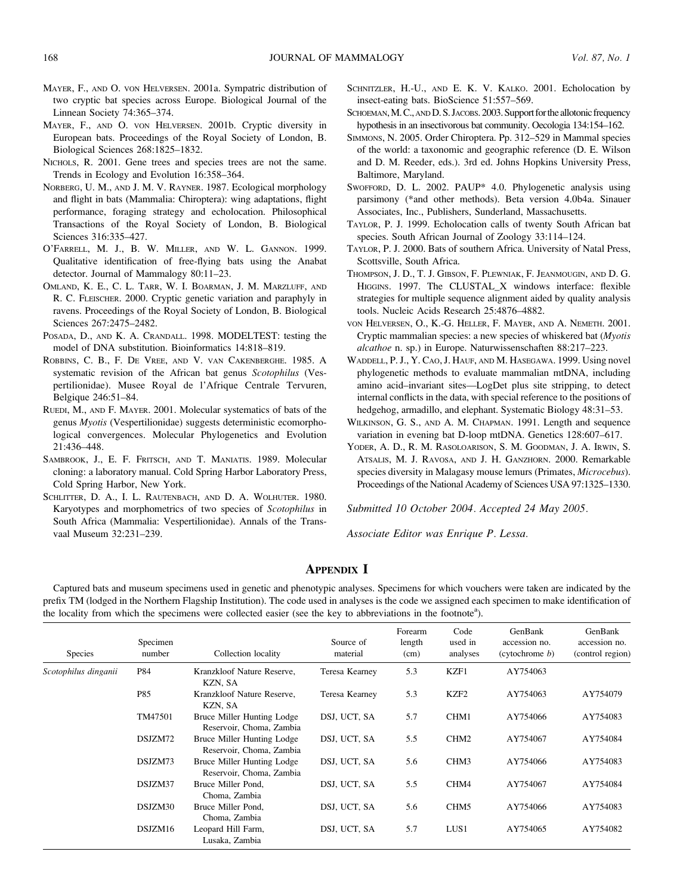- MAYER, F., AND O. VON HELVERSEN. 2001a. Sympatric distribution of two cryptic bat species across Europe. Biological Journal of the Linnean Society 74:365–374.
- MAYER, F., AND O. VON HELVERSEN. 2001b. Cryptic diversity in European bats. Proceedings of the Royal Society of London, B. Biological Sciences 268:1825–1832.
- NICHOLS, R. 2001. Gene trees and species trees are not the same. Trends in Ecology and Evolution 16:358–364.
- NORBERG, U. M., AND J. M. V. RAYNER. 1987. Ecological morphology and flight in bats (Mammalia: Chiroptera): wing adaptations, flight performance, foraging strategy and echolocation. Philosophical Transactions of the Royal Society of London, B. Biological Sciences 316:335–427.
- O'FARRELL, M. J., B. W. MILLER, AND W. L. GANNON. 1999. Qualitative identification of free-flying bats using the Anabat detector. Journal of Mammalogy 80:11–23.
- OMLAND, K. E., C. L. TARR, W. I. BOARMAN, J. M. MARZLUFF, AND R. C. FLEISCHER. 2000. Cryptic genetic variation and paraphyly in ravens. Proceedings of the Royal Society of London, B. Biological Sciences 267:2475–2482.
- POSADA, D., AND K. A. CRANDALL. 1998. MODELTEST: testing the model of DNA substitution. Bioinformatics 14:818–819.
- ROBBINS, C. B., F. DE VREE, AND V. VAN CAKENBERGHE. 1985. A systematic revision of the African bat genus Scotophilus (Vespertilionidae). Musee Royal de l'Afrique Centrale Tervuren, Belgique 246:51–84.
- RUEDI, M., AND F. MAYER. 2001. Molecular systematics of bats of the genus Myotis (Vespertilionidae) suggests deterministic ecomorphological convergences. Molecular Phylogenetics and Evolution 21:436–448.
- SAMBROOK, J., E. F. FRITSCH, AND T. MANIATIS. 1989. Molecular cloning: a laboratory manual. Cold Spring Harbor Laboratory Press, Cold Spring Harbor, New York.
- SCHLITTER, D. A., I. L. RAUTENBACH, AND D. A. WOLHUTER. 1980. Karyotypes and morphometrics of two species of Scotophilus in South Africa (Mammalia: Vespertilionidae). Annals of the Transvaal Museum 32:231–239.
- SCHNITZLER, H.-U., AND E. K. V. KALKO. 2001. Echolocation by insect-eating bats. BioScience 51:557–569.
- SCHOEMAN, M.C., AND D.S. JACOBS. 2003. Support for the allotonic frequency hypothesis in an insectivorous bat community. Oecologia 134:154–162.
- SIMMONS, N. 2005. Order Chiroptera. Pp. 312–529 in Mammal species of the world: a taxonomic and geographic reference (D. E. Wilson and D. M. Reeder, eds.). 3rd ed. Johns Hopkins University Press, Baltimore, Maryland.
- SWOFFORD, D. L. 2002. PAUP\* 4.0. Phylogenetic analysis using parsimony (\*and other methods). Beta version 4.0b4a. Sinauer Associates, Inc., Publishers, Sunderland, Massachusetts.
- TAYLOR, P. J. 1999. Echolocation calls of twenty South African bat species. South African Journal of Zoology 33:114–124.
- TAYLOR, P. J. 2000. Bats of southern Africa. University of Natal Press, Scottsville, South Africa.
- THOMPSON, J. D., T. J. GIBSON, F. PLEWNIAK, F. JEANMOUGIN, AND D. G. HIGGINS. 1997. The CLUSTAL\_X windows interface: flexible strategies for multiple sequence alignment aided by quality analysis tools. Nucleic Acids Research 25:4876–4882.
- VON HELVERSEN, O., K.-G. HELLER, F. MAYER, AND A. NEMETH. 2001. Cryptic mammalian species: a new species of whiskered bat (Myotis alcathoe n. sp.) in Europe. Naturwissenschaften 88:217–223.
- WADDELL, P. J., Y. CAO, J. HAUF, AND M. HASEGAWA. 1999. Using novel phylogenetic methods to evaluate mammalian mtDNA, including amino acid–invariant sites—LogDet plus site stripping, to detect internal conflicts in the data, with special reference to the positions of hedgehog, armadillo, and elephant. Systematic Biology 48:31–53.
- WILKINSON, G. S., AND A. M. CHAPMAN. 1991. Length and sequence variation in evening bat D-loop mtDNA. Genetics 128:607–617.
- YODER, A. D., R. M. RASOLOARISON, S. M. GOODMAN, J. A. IRWIN, S. ATSALIS, M. J. RAVOSA, AND J. H. GANZHORN. 2000. Remarkable species diversity in Malagasy mouse lemurs (Primates, Microcebus). Proceedings of the National Academy of Sciences USA 97:1325–1330.

Submitted 10 October 2004. Accepted 24 May 2005.

Associate Editor was Enrique P. Lessa.

## APPENDIX I

Captured bats and museum specimens used in genetic and phenotypic analyses. Specimens for which vouchers were taken are indicated by the prefix TM (lodged in the Northern Flagship Institution). The code used in analyses is the code we assigned each specimen to make identification of the locality from which the specimens were collected easier (see the key to abbreviations in the footnote<sup>a</sup>).

| <b>Species</b>       | Specimen<br>number | Collection locality                                    | Source of<br>material | Forearm<br>length<br>(cm) | Code<br>used in<br>analyses | GenBank<br>accession no.<br>$(c$ ytochrome $b$ ) | GenBank<br>accession no.<br>(control region) |
|----------------------|--------------------|--------------------------------------------------------|-----------------------|---------------------------|-----------------------------|--------------------------------------------------|----------------------------------------------|
| Scotophilus dinganii | P84                | Kranzkloof Nature Reserve,<br>KZN, SA                  | Teresa Kearney        | 5.3                       | KZF1                        | AY754063                                         |                                              |
|                      | P85                | Kranzkloof Nature Reserve,<br>KZN, SA                  | Teresa Kearney        | 5.3                       | KZF <sub>2</sub>            | AY754063                                         | AY754079                                     |
|                      | TM47501            | Bruce Miller Hunting Lodge<br>Reservoir, Choma, Zambia | DSJ, UCT, SA          | 5.7                       | CHM1                        | AY754066                                         | AY754083                                     |
|                      | DSJZM72            | Bruce Miller Hunting Lodge<br>Reservoir, Choma, Zambia | DSJ, UCT, SA          | 5.5                       | CHM <sub>2</sub>            | AY754067                                         | AY754084                                     |
|                      | DSJZM73            | Bruce Miller Hunting Lodge<br>Reservoir, Choma, Zambia | DSJ, UCT, SA          | 5.6                       | CHM3                        | AY754066                                         | AY754083                                     |
|                      | DSJZM37            | Bruce Miller Pond.<br>Choma, Zambia                    | DSJ, UCT, SA          | 5.5                       | CHM4                        | AY754067                                         | AY754084                                     |
|                      | DSJZM30            | Bruce Miller Pond,<br>Choma, Zambia                    | DSJ, UCT, SA          | 5.6                       | CHM <sub>5</sub>            | AY754066                                         | AY754083                                     |
|                      | DSJZM16            | Leopard Hill Farm,<br>Lusaka, Zambia                   | DSJ, UCT, SA          | 5.7                       | LUS <sub>1</sub>            | AY754065                                         | AY754082                                     |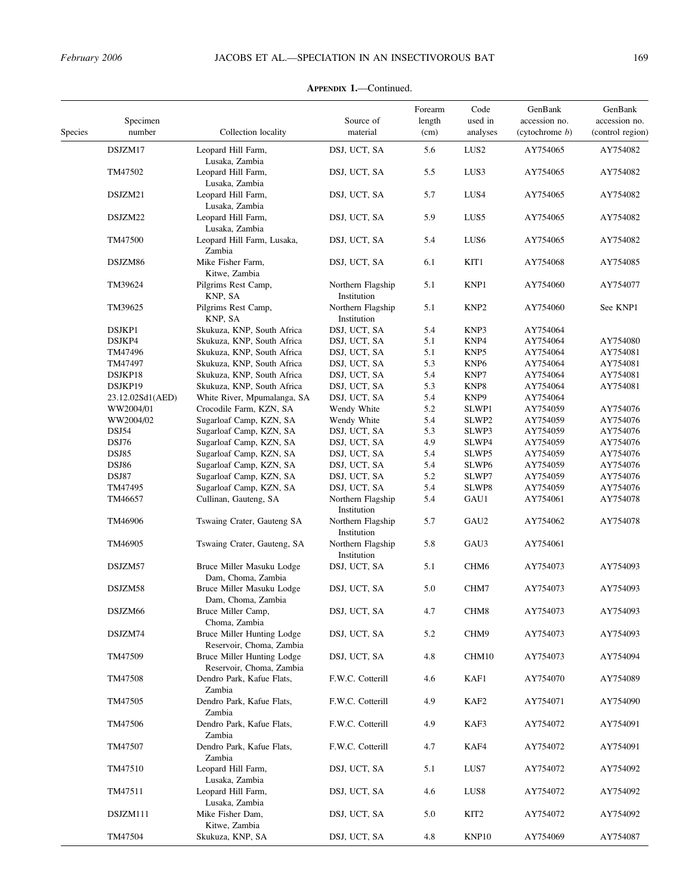| Species | Specimen<br>number | Collection locality                                           | Source of<br>material            | Forearm<br>length<br>(cm) | Code<br>used in<br>analyses | GenBank<br>accession no.<br>(cytochrome b) | GenBank<br>accession no.<br>(control region) |
|---------|--------------------|---------------------------------------------------------------|----------------------------------|---------------------------|-----------------------------|--------------------------------------------|----------------------------------------------|
|         | DSJZM17            | Leopard Hill Farm,                                            | DSJ, UCT, SA                     | 5.6                       | LUS <sub>2</sub>            | AY754065                                   | AY754082                                     |
|         | TM47502            | Lusaka, Zambia<br>Leopard Hill Farm,<br>Lusaka, Zambia        | DSJ, UCT, SA                     | 5.5                       | LUS3                        | AY754065                                   | AY754082                                     |
|         | DSJZM21            | Leopard Hill Farm,<br>Lusaka, Zambia                          | DSJ, UCT, SA                     | 5.7                       | LUS4                        | AY754065                                   | AY754082                                     |
|         | DSJZM22            | Leopard Hill Farm,<br>Lusaka, Zambia                          | DSJ, UCT, SA                     | 5.9                       | LUS5                        | AY754065                                   | AY754082                                     |
|         | TM47500            | Leopard Hill Farm, Lusaka,<br>Zambia                          | DSJ, UCT, SA                     | 5.4                       | LUS <sub>6</sub>            | AY754065                                   | AY754082                                     |
|         | DSJZM86            | Mike Fisher Farm,<br>Kitwe, Zambia                            | DSJ, UCT, SA                     | 6.1                       | KIT1                        | AY754068                                   | AY754085                                     |
|         | TM39624            | Pilgrims Rest Camp,<br>KNP, SA                                | Northern Flagship<br>Institution | 5.1                       | KNP1                        | AY754060                                   | AY754077                                     |
|         | TM39625            | Pilgrims Rest Camp,<br>KNP, SA                                | Northern Flagship<br>Institution | 5.1                       | KNP <sub>2</sub>            | AY754060                                   | See KNP1                                     |
|         | DSJKP1             | Skukuza, KNP, South Africa                                    | DSJ, UCT, SA                     | 5.4                       | KNP3                        | AY754064                                   |                                              |
|         | DSJKP4             | Skukuza, KNP, South Africa                                    | DSJ, UCT, SA                     | 5.1                       | KNP4                        | AY754064                                   | AY754080                                     |
|         | TM47496            | Skukuza, KNP, South Africa                                    | DSJ, UCT, SA                     | 5.1                       | KNP <sub>5</sub>            | AY754064                                   | AY754081                                     |
|         | TM47497            | Skukuza, KNP, South Africa                                    | DSJ, UCT, SA                     | 5.3                       | KNP <sub>6</sub>            | AY754064                                   | AY754081                                     |
|         |                    |                                                               |                                  |                           |                             |                                            |                                              |
|         | DSJKP18            | Skukuza, KNP, South Africa                                    | DSJ, UCT, SA                     | 5.4                       | KNP7                        | AY754064                                   | AY754081                                     |
|         | DSJKP19            | Skukuza, KNP, South Africa                                    | DSJ, UCT, SA                     | 5.3                       | KNP8                        | AY754064                                   | AY754081                                     |
|         | 23.12.02Sd1(AED)   | White River, Mpumalanga, SA                                   | DSJ, UCT, SA                     | 5.4                       | KNP <sub>9</sub>            | AY754064                                   |                                              |
|         | WW2004/01          | Crocodile Farm, KZN, SA                                       | Wendy White                      | 5.2                       | SLWP1                       | AY754059                                   | AY754076                                     |
|         | WW2004/02          | Sugarloaf Camp, KZN, SA                                       | Wendy White                      | 5.4                       | SLWP <sub>2</sub>           | AY754059                                   | AY754076                                     |
|         | DSJ54              | Sugarloaf Camp, KZN, SA                                       | DSJ, UCT, SA                     | 5.3                       | SLWP3                       | AY754059                                   | AY754076                                     |
|         |                    |                                                               | DSJ, UCT, SA                     | 4.9                       |                             |                                            |                                              |
|         | DSJ76              | Sugarloaf Camp, KZN, SA                                       |                                  |                           | SLWP4                       | AY754059                                   | AY754076                                     |
|         | DSJ85              | Sugarloaf Camp, KZN, SA                                       | DSJ, UCT, SA                     | 5.4                       | SLWP5                       | AY754059                                   | AY754076                                     |
|         | <b>DSJ86</b>       | Sugarloaf Camp, KZN, SA                                       | DSJ, UCT, SA                     | 5.4                       | SLWP <sub>6</sub>           | AY754059                                   | AY754076                                     |
|         | DSJ87              | Sugarloaf Camp, KZN, SA                                       | DSJ, UCT, SA                     | 5.2                       | SLWP7                       | AY754059                                   | AY754076                                     |
|         | TM47495            | Sugarloaf Camp, KZN, SA                                       | DSJ, UCT, SA                     | 5.4                       | SLWP8                       | AY754059                                   | AY754076                                     |
|         | TM46657            | Cullinan, Gauteng, SA                                         | Northern Flagship<br>Institution | 5.4                       | GAU1                        | AY754061                                   | AY754078                                     |
|         | TM46906            | Tswaing Crater, Gauteng SA                                    | Northern Flagship<br>Institution | 5.7                       | GAU2                        | AY754062                                   | AY754078                                     |
|         | TM46905            | Tswaing Crater, Gauteng, SA                                   | Northern Flagship<br>Institution | 5.8                       | GAU3                        | AY754061                                   |                                              |
|         | DSJZM57            | Bruce Miller Masuku Lodge<br>Dam, Choma, Zambia               | DSJ, UCT, SA                     | 5.1                       | CHM <sub>6</sub>            | AY754073                                   | AY754093                                     |
|         | DSJZM58            | Bruce Miller Masuku Lodge<br>Dam, Choma, Zambia               | DSJ, UCT, SA                     | 5.0                       | CHM7                        | AY754073                                   | AY754093                                     |
|         | DSJZM66            | Bruce Miller Camp,<br>Choma, Zambia                           | DSJ, UCT, SA                     | 4.7                       | CHM8                        | AY754073                                   | AY754093                                     |
|         | DSJZM74            | Bruce Miller Hunting Lodge<br>Reservoir, Choma, Zambia        | DSJ, UCT, SA                     | 5.2                       | CHM9                        | AY754073                                   | AY754093                                     |
|         | TM47509            | <b>Bruce Miller Hunting Lodge</b><br>Reservoir, Choma, Zambia | DSJ, UCT, SA                     | 4.8                       | CHM10                       | AY754073                                   | AY754094                                     |
|         | TM47508            | Dendro Park, Kafue Flats,<br>Zambia                           | F.W.C. Cotterill                 | 4.6                       | KAF1                        | AY754070                                   | AY754089                                     |
|         | TM47505            | Dendro Park, Kafue Flats,<br>Zambia                           | F.W.C. Cotterill                 | 4.9                       | KAF2                        | AY754071                                   | AY754090                                     |
|         | TM47506            | Dendro Park, Kafue Flats,<br>Zambia                           | F.W.C. Cotterill                 | 4.9                       | KAF3                        | AY754072                                   | AY754091                                     |
|         | TM47507            | Dendro Park, Kafue Flats,<br>Zambia                           | F.W.C. Cotterill                 | 4.7                       | KAF4                        | AY754072                                   | AY754091                                     |
|         | TM47510<br>TM47511 | Leopard Hill Farm,<br>Lusaka, Zambia<br>Leopard Hill Farm,    | DSJ, UCT, SA<br>DSJ, UCT, SA     | 5.1<br>4.6                | LUS7<br>LUS <sub>8</sub>    | AY754072<br>AY754072                       | AY754092<br>AY754092                         |
|         | DSJZM111           | Lusaka, Zambia<br>Mike Fisher Dam,                            | DSJ, UCT, SA                     | 5.0                       | KIT2                        | AY754072                                   | AY754092                                     |
|         | TM47504            | Kitwe, Zambia<br>Skukuza, KNP, SA                             | DSJ, UCT, SA                     | 4.8                       | KNP10                       | AY754069                                   | AY754087                                     |

## APPENDIX 1.—Continued.